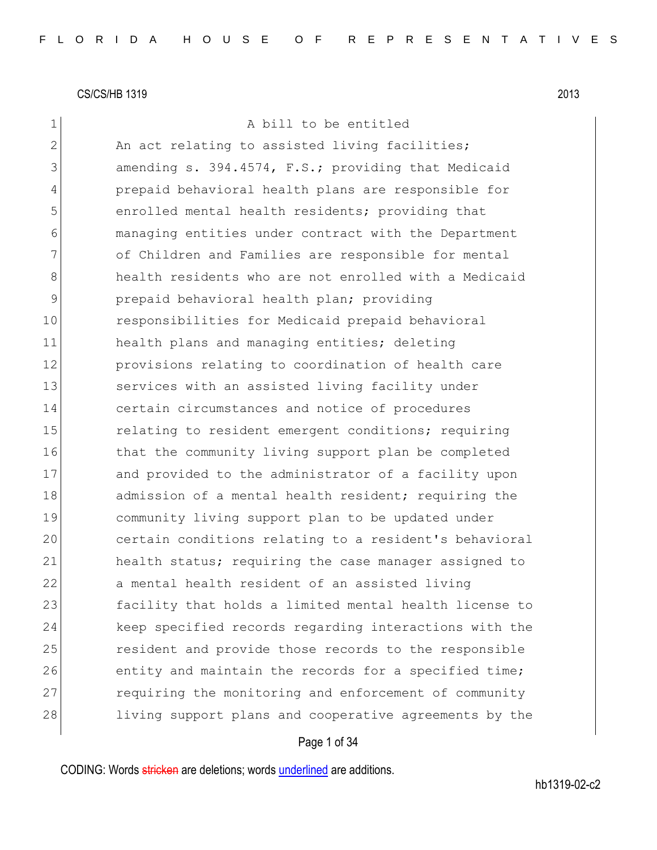1 a bill to be entitled

2 An act relating to assisted living facilities; 3 amending s. 394.4574, F.S.; providing that Medicaid 4 prepaid behavioral health plans are responsible for 5 **b** enrolled mental health residents; providing that 6 managing entities under contract with the Department 7 of Children and Families are responsible for mental 8 health residents who are not enrolled with a Medicaid 9 **prepaid behavioral health plan; providing** 10 responsibilities for Medicaid prepaid behavioral 11 health plans and managing entities; deleting 12 **provisions relating to coordination of health care** 13 services with an assisted living facility under 14 certain circumstances and notice of procedures 15 relating to resident emergent conditions; requiring 16 that the community living support plan be completed 17 and provided to the administrator of a facility upon 18 admission of a mental health resident; requiring the 19 community living support plan to be updated under 20 certain conditions relating to a resident's behavioral 21 health status; requiring the case manager assigned to 22 a mental health resident of an assisted living 23 facility that holds a limited mental health license to 24 keep specified records regarding interactions with the 25 resident and provide those records to the responsible 26 entity and maintain the records for a specified time; 27 requiring the monitoring and enforcement of community 28 living support plans and cooperative agreements by the

## Page 1 of 34

CODING: Words stricken are deletions; words underlined are additions.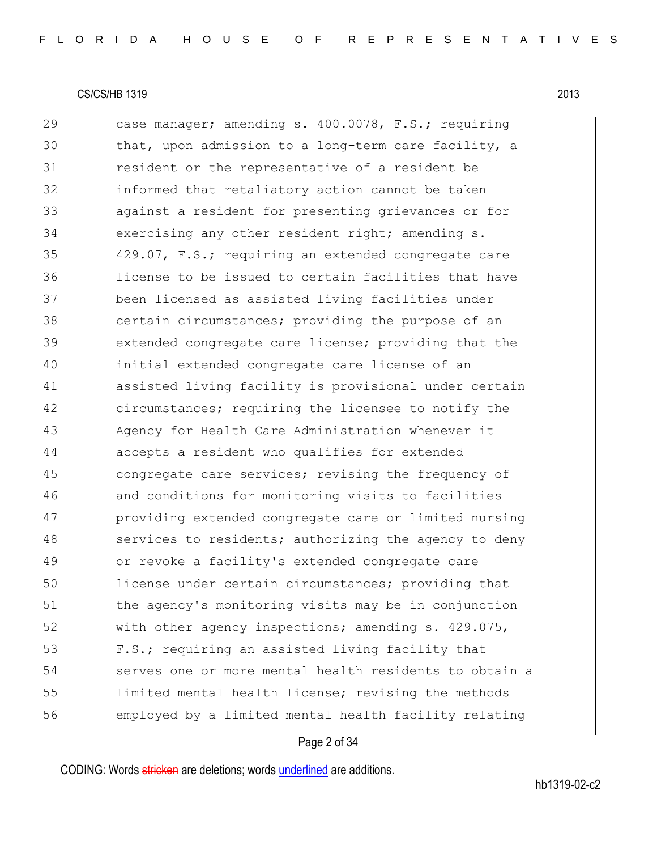29 case manager; amending s. 400.0078, F.S.; requiring 30 that, upon admission to a long-term care facility, a 31 resident or the representative of a resident be 32 informed that retaliatory action cannot be taken 33 against a resident for presenting grievances or for 34 exercising any other resident right; amending s. 35 429.07, F.S.; requiring an extended congregate care 36 license to be issued to certain facilities that have 37 been licensed as assisted living facilities under 38 certain circumstances; providing the purpose of an 39 extended congregate care license; providing that the 40 initial extended congregate care license of an 41 assisted living facility is provisional under certain 42 circumstances; requiring the licensee to notify the 43 Agency for Health Care Administration whenever it 44 accepts a resident who qualifies for extended 45 congregate care services; revising the frequency of 46 and conditions for monitoring visits to facilities 47 providing extended congregate care or limited nursing 48 services to residents; authorizing the agency to deny 49 or revoke a facility's extended congregate care 50 license under certain circumstances; providing that 51 bthe agency's monitoring visits may be in conjunction 52 with other agency inspections; amending s. 429.075, 53 F.S.; requiring an assisted living facility that 54 serves one or more mental health residents to obtain a 55 limited mental health license; revising the methods 56 employed by a limited mental health facility relating

#### Page 2 of 34

CODING: Words stricken are deletions; words underlined are additions.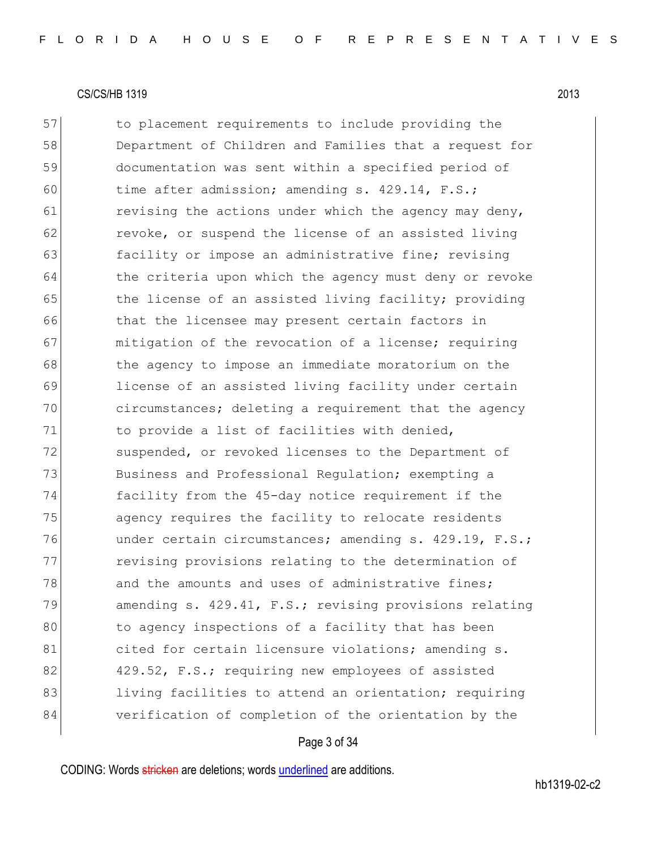57 to placement requirements to include providing the 58 Department of Children and Families that a request for 59 documentation was sent within a specified period of 60 time after admission; amending s.  $429.14$ , F.S.; 61 revising the actions under which the agency may deny, 62 revoke, or suspend the license of an assisted living 63 facility or impose an administrative fine; revising 64 the criteria upon which the agency must deny or revoke 65 the license of an assisted living facility; providing 66 that the licensee may present certain factors in 67 mitigation of the revocation of a license; requiring 68 the agency to impose an immediate moratorium on the 69 license of an assisted living facility under certain 70 circumstances; deleting a requirement that the agency 71 to provide a list of facilities with denied, 72 suspended, or revoked licenses to the Department of 73 Business and Professional Requlation; exempting a 74 facility from the 45-day notice requirement if the 75 agency requires the facility to relocate residents 76 under certain circumstances; amending s. 429.19, F.S.; 77 revising provisions relating to the determination of 78 and the amounts and uses of administrative fines; 79 amending s. 429.41, F.S.; revising provisions relating 80 to agency inspections of a facility that has been 81 cited for certain licensure violations; amending s. 82 429.52, F.S.; requiring new employees of assisted 83 living facilities to attend an orientation; requiring 84 verification of completion of the orientation by the

## Page 3 of 34

CODING: Words stricken are deletions; words underlined are additions.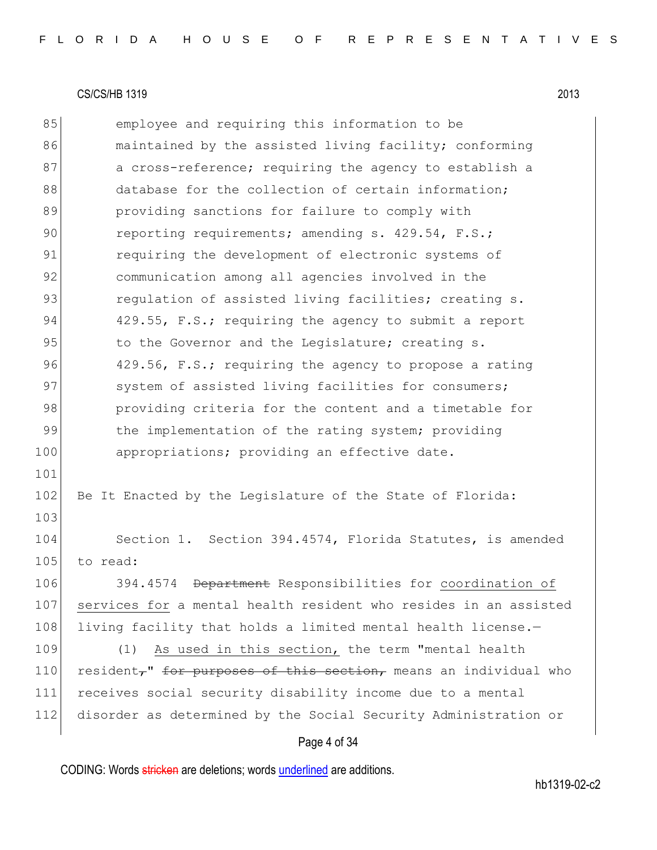85 employee and requiring this information to be 86 maintained by the assisted living facility; conforming 87 a cross-reference; requiring the agency to establish a 88 database for the collection of certain information; 89 **providing sanctions for failure to comply with** 90 reporting requirements; amending s. 429.54, F.S.; 91 requiring the development of electronic systems of 92 communication among all agencies involved in the 93 regulation of assisted living facilities; creating s. 94 429.55, F.S.; requiring the agency to submit a report 95 to the Governor and the Legislature; creating s. 96 429.56, F.S.; requiring the agency to propose a rating 97 System of assisted living facilities for consumers; 98 providing criteria for the content and a timetable for 99 the implementation of the rating system; providing 100 appropriations; providing an effective date. 101 102 Be It Enacted by the Legislature of the State of Florida: 103 104 Section 1. Section 394.4574, Florida Statutes, is amended 105 to read: 106 394.4574 Department Responsibilities for coordination of 107 services for a mental health resident who resides in an assisted 108 living facility that holds a limited mental health license.-109 (1) As used in this section, the term "mental health 110 resident, for purposes of this section, means an individual who 111 receives social security disability income due to a mental 112 disorder as determined by the Social Security Administration or

## Page 4 of 34

CODING: Words stricken are deletions; words underlined are additions.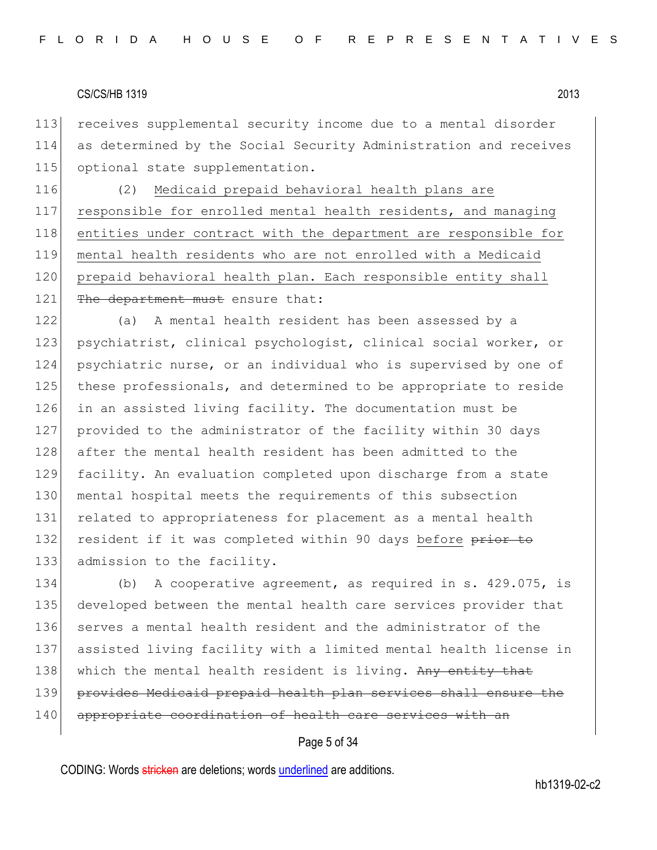113 receives supplemental security income due to a mental disorder 114 as determined by the Social Security Administration and receives 115 optional state supplementation.

116 (2) Medicaid prepaid behavioral health plans are 117 responsible for enrolled mental health residents, and managing 118 entities under contract with the department are responsible for 119 mental health residents who are not enrolled with a Medicaid 120 prepaid behavioral health plan. Each responsible entity shall 121 The department must ensure that:

 (a) A mental health resident has been assessed by a psychiatrist, clinical psychologist, clinical social worker, or psychiatric nurse, or an individual who is supervised by one of these professionals, and determined to be appropriate to reside in an assisted living facility. The documentation must be provided to the administrator of the facility within 30 days after the mental health resident has been admitted to the facility. An evaluation completed upon discharge from a state 130 mental hospital meets the requirements of this subsection related to appropriateness for placement as a mental health 132 resident if it was completed within 90 days before prior to 133 admission to the facility.

 (b) A cooperative agreement, as required in s. 429.075, is developed between the mental health care services provider that serves a mental health resident and the administrator of the assisted living facility with a limited mental health license in 138 which the mental health resident is living. Any entity that provides Medicaid prepaid health plan services shall ensure the 140 appropriate coordination of health care services with an

## Page 5 of 34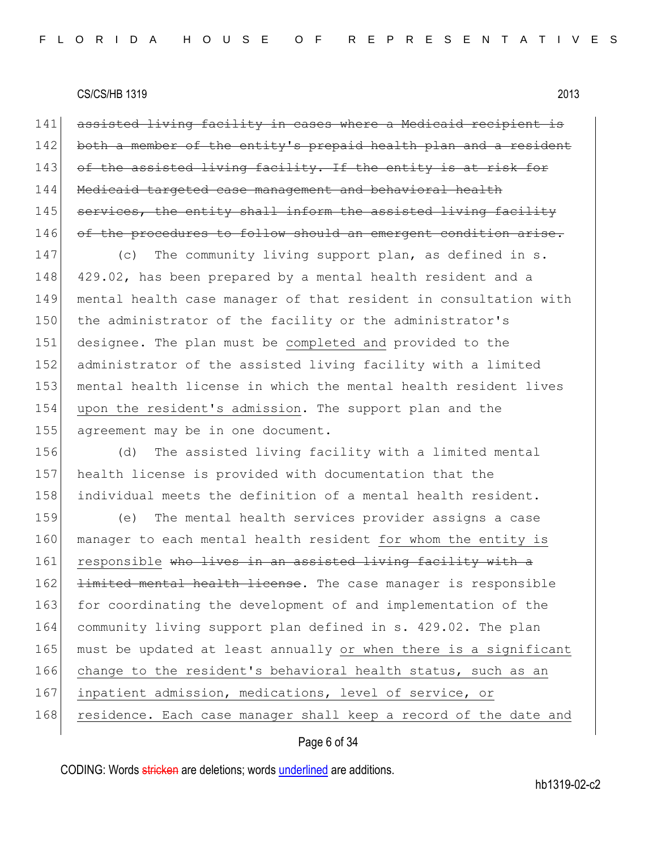141 assisted living facility in cases where a Medicaid recipient is 142 both a member of the entity's prepaid health plan and a resident 143 of the assisted living facility. If the entity is at risk for 144 Medicaid targeted case management and behavioral health 145 services, the entity shall inform the assisted living facility 146 of the procedures to follow should an emergent condition arise.

147 (c) The community living support plan, as defined in s. 148 429.02, has been prepared by a mental health resident and a 149 mental health case manager of that resident in consultation with 150 the administrator of the facility or the administrator's 151 designee. The plan must be completed and provided to the 152 administrator of the assisted living facility with a limited 153 mental health license in which the mental health resident lives 154 upon the resident's admission. The support plan and the 155 agreement may be in one document.

156 (d) The assisted living facility with a limited mental 157 health license is provided with documentation that the 158 individual meets the definition of a mental health resident.

159 (e) The mental health services provider assigns a case 160 manager to each mental health resident for whom the entity is 161 responsible who lives in an assisted living facility with a 162 <del>limited mental health license</del>. The case manager is responsible 163 for coordinating the development of and implementation of the 164 community living support plan defined in s. 429.02. The plan 165 must be updated at least annually or when there is a significant 166 change to the resident's behavioral health status, such as an 167 inpatient admission, medications, level of service, or 168 residence. Each case manager shall keep a record of the date and

## Page 6 of 34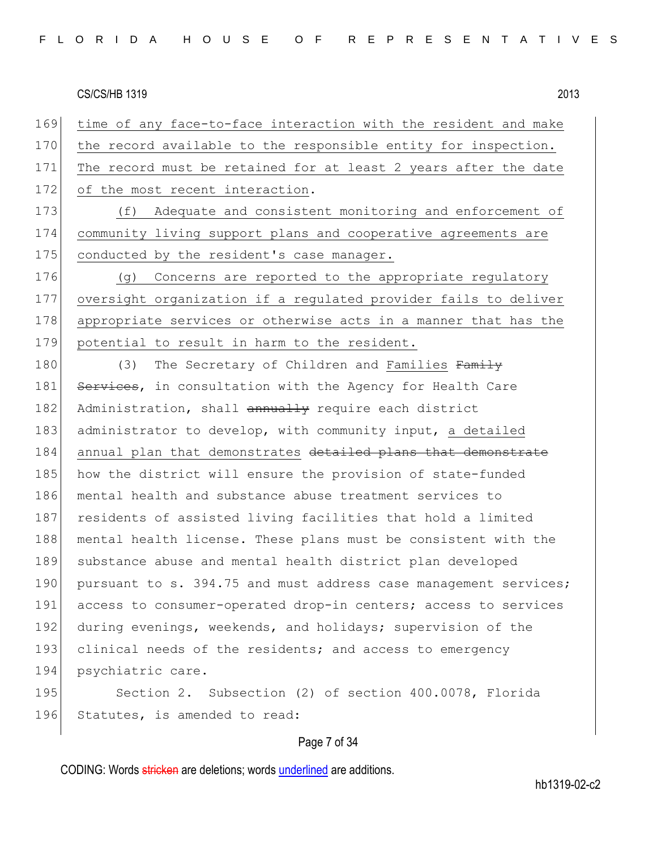169 time of any face-to-face interaction with the resident and make 170 the record available to the responsible entity for inspection. 171 The record must be retained for at least 2 years after the date 172 of the most recent interaction.

173 (f) Adequate and consistent monitoring and enforcement of 174 community living support plans and cooperative agreements are 175 conducted by the resident's case manager.

176 (g) Concerns are reported to the appropriate regulatory 177 oversight organization if a regulated provider fails to deliver 178 appropriate services or otherwise acts in a manner that has the 179 potential to result in harm to the resident.

180 (3) The Secretary of Children and Families Family 181 Services, in consultation with the Agency for Health Care 182 Administration, shall annually require each district 183 administrator to develop, with community input, a detailed 184 annual plan that demonstrates detailed plans that demonstrate 185 how the district will ensure the provision of state-funded 186 mental health and substance abuse treatment services to 187 residents of assisted living facilities that hold a limited 188 mental health license. These plans must be consistent with the 189 substance abuse and mental health district plan developed 190 pursuant to s. 394.75 and must address case management services; 191 access to consumer-operated drop-in centers; access to services 192 during evenings, weekends, and holidays; supervision of the 193 clinical needs of the residents; and access to emergency 194 psychiatric care.

195 Section 2. Subsection (2) of section 400.0078, Florida 196 Statutes, is amended to read:

#### Page 7 of 34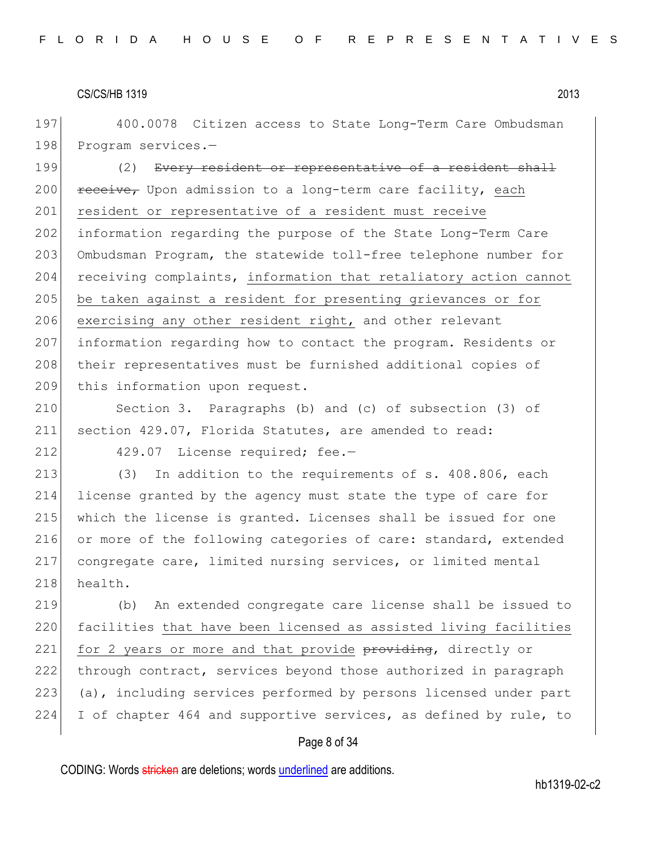197 400.0078 Citizen access to State Long-Term Care Ombudsman 198 Program services.-

199 (2) Every resident or representative of a resident shall 200 | receive, Upon admission to a long-term care facility, each 201 resident or representative of a resident must receive 202 information regarding the purpose of the State Long-Term Care 203 Ombudsman Program, the statewide toll-free telephone number for 204 receiving complaints, information that retaliatory action cannot 205 be taken against a resident for presenting grievances or for 206 exercising any other resident right, and other relevant 207 information regarding how to contact the program. Residents or 208 their representatives must be furnished additional copies of 209 this information upon request.

210 Section 3. Paragraphs (b) and (c) of subsection (3) of 211 section 429.07, Florida Statutes, are amended to read:

212 429.07 License required; fee.-

213 (3) In addition to the requirements of s. 408.806, each 214 license granted by the agency must state the type of care for 215 which the license is granted. Licenses shall be issued for one 216 or more of the following categories of care: standard, extended 217 congregate care, limited nursing services, or limited mental 218 health.

219 (b) An extended congregate care license shall be issued to 220 facilities that have been licensed as assisted living facilities 221 for 2 years or more and that provide providing, directly or 222 through contract, services beyond those authorized in paragraph 223 (a), including services performed by persons licensed under part 224 I of chapter 464 and supportive services, as defined by rule, to

#### Page 8 of 34

CODING: Words stricken are deletions; words underlined are additions.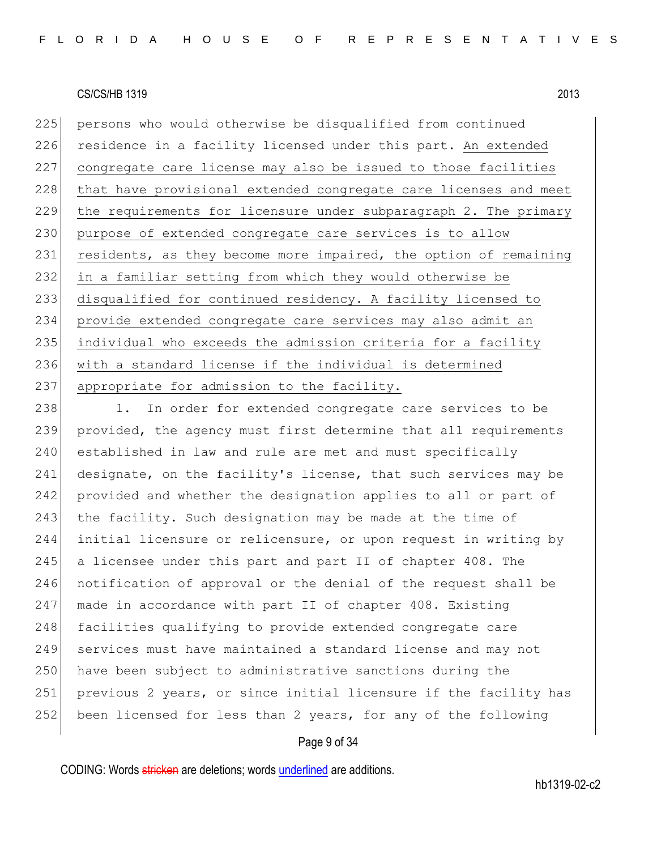225 persons who would otherwise be disqualified from continued 226 residence in a facility licensed under this part. An extended 227 congregate care license may also be issued to those facilities 228 that have provisional extended congregate care licenses and meet 229 the requirements for licensure under subparagraph 2. The primary 230 purpose of extended congregate care services is to allow 231 residents, as they become more impaired, the option of remaining 232 in a familiar setting from which they would otherwise be 233 disqualified for continued residency. A facility licensed to 234 provide extended congregate care services may also admit an 235 individual who exceeds the admission criteria for a facility 236 with a standard license if the individual is determined 237 appropriate for admission to the facility.

238 1. In order for extended congregate care services to be 239 provided, the agency must first determine that all requirements 240 established in law and rule are met and must specifically 241 designate, on the facility's license, that such services may be 242 provided and whether the designation applies to all or part of 243 the facility. Such designation may be made at the time of 244 initial licensure or relicensure, or upon request in writing by 245 a licensee under this part and part II of chapter 408. The 246 notification of approval or the denial of the request shall be 247 made in accordance with part II of chapter 408. Existing 248 facilities qualifying to provide extended congregate care 249 services must have maintained a standard license and may not 250 have been subject to administrative sanctions during the 251 previous 2 years, or since initial licensure if the facility has 252 been licensed for less than 2 years, for any of the following

#### Page 9 of 34

CODING: Words stricken are deletions; words underlined are additions.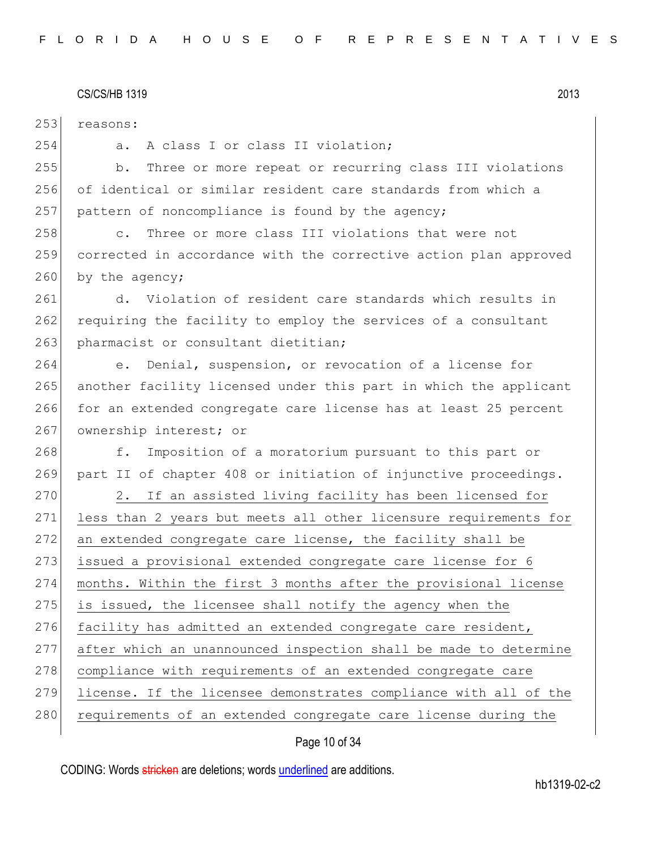| 253 | reasons:                                                            |
|-----|---------------------------------------------------------------------|
| 254 | A class I or class II violation;<br>a.                              |
| 255 | Three or more repeat or recurring class III violations<br>b.        |
| 256 | of identical or similar resident care standards from which a        |
| 257 | pattern of noncompliance is found by the agency;                    |
| 258 | Three or more class III violations that were not<br>$\mathsf{C}$ .  |
| 259 | corrected in accordance with the corrective action plan approved    |
| 260 | by the agency;                                                      |
| 261 | d. Violation of resident care standards which results in            |
| 262 | requiring the facility to employ the services of a consultant       |
| 263 | pharmacist or consultant dietitian;                                 |
| 264 | Denial, suspension, or revocation of a license for<br>$e_{\bullet}$ |
| 265 | another facility licensed under this part in which the applicant    |
| 266 | for an extended congregate care license has at least 25 percent     |
| 267 | ownership interest; or                                              |
| 268 | Imposition of a moratorium pursuant to this part or<br>f.           |
| 269 | part II of chapter 408 or initiation of injunctive proceedings.     |
| 270 | If an assisted living facility has been licensed for<br>2.          |
| 271 | less than 2 years but meets all other licensure requirements for    |
| 272 | an extended congregate care license, the facility shall be          |
| 273 | issued a provisional extended congregate care license for 6         |
| 274 | months. Within the first 3 months after the provisional license     |
| 275 | is issued, the licensee shall notify the agency when the            |
| 276 | facility has admitted an extended congregate care resident,         |
| 277 | after which an unannounced inspection shall be made to determine    |
| 278 | compliance with requirements of an extended congregate care         |
| 279 | license. If the licensee demonstrates compliance with all of the    |
| 280 | requirements of an extended congregate care license during the      |
|     |                                                                     |

# Page 10 of 34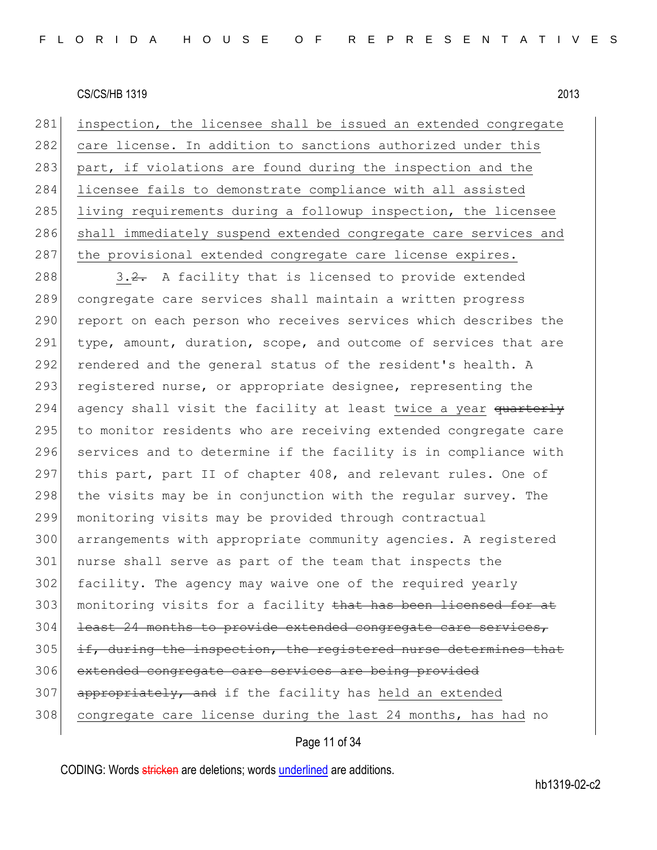281 inspection, the licensee shall be issued an extended congregate 282 care license. In addition to sanctions authorized under this 283 part, if violations are found during the inspection and the 284 licensee fails to demonstrate compliance with all assisted 285 living requirements during a followup inspection, the licensee 286 shall immediately suspend extended congregate care services and 287 the provisional extended congregate care license expires.

288  $\vert$  3.2. A facility that is licensed to provide extended 289 congregate care services shall maintain a written progress 290 report on each person who receives services which describes the 291 type, amount, duration, scope, and outcome of services that are 292 rendered and the general status of the resident's health. A 293 registered nurse, or appropriate designee, representing the 294 agency shall visit the facility at least twice a year quarterly 295 to monitor residents who are receiving extended congregate care 296 services and to determine if the facility is in compliance with 297 this part, part II of chapter 408, and relevant rules. One of 298 the visits may be in conjunction with the regular survey. The 299 monitoring visits may be provided through contractual 300 arrangements with appropriate community agencies. A registered 301 nurse shall serve as part of the team that inspects the 302 facility. The agency may waive one of the required yearly 303 monitoring visits for a facility that has been licensed for at 304 least 24 months to provide extended congregate care services,  $305$  if, during the inspection, the registered nurse determines that 306 extended congregate care services are being provided 307 appropriately, and if the facility has held an extended 308 congregate care license during the last 24 months, has had no

## Page 11 of 34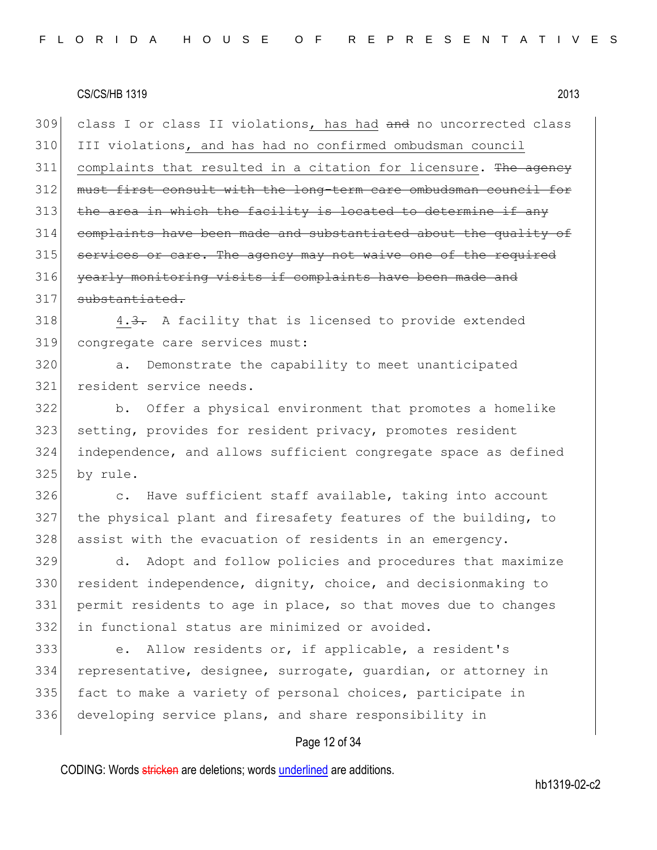309 class I or class II violations, has had and no uncorrected class 310 III violations, and has had no confirmed ombudsman council 311 complaints that resulted in a citation for licensure. The agency 312 must first consult with the long-term care ombudsman council for  $313$  the area in which the facility is located to determine if any 314 complaints have been made and substantiated about the quality of 315 services or care. The agency may not waive one of the required 316 yearly monitoring visits if complaints have been made and 317 substantiated.

 $318$  4.3. A facility that is licensed to provide extended 319 congregate care services must:

320 a. Demonstrate the capability to meet unanticipated 321 resident service needs.

 b. Offer a physical environment that promotes a homelike setting, provides for resident privacy, promotes resident independence, and allows sufficient congregate space as defined 325 by rule.

326 c. Have sufficient staff available, taking into account 327 the physical plant and firesafety features of the building, to 328 assist with the evacuation of residents in an emergency.

329 d. Adopt and follow policies and procedures that maximize 330 resident independence, dignity, choice, and decisionmaking to 331 permit residents to age in place, so that moves due to changes 332 in functional status are minimized or avoided.

 e. Allow residents or, if applicable, a resident's representative, designee, surrogate, guardian, or attorney in 335 fact to make a variety of personal choices, participate in developing service plans, and share responsibility in

## Page 12 of 34

CODING: Words stricken are deletions; words underlined are additions.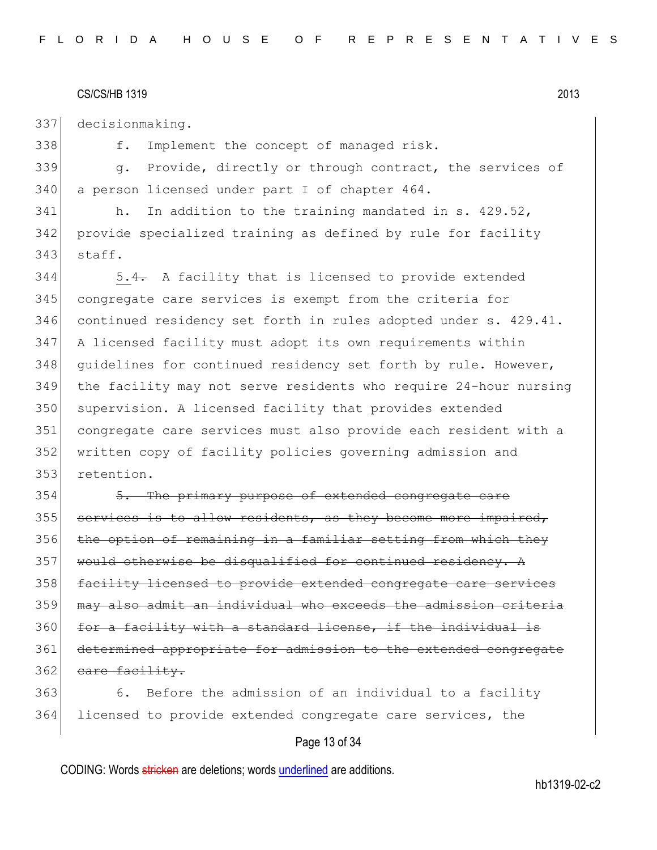337 decisionmaking.

338 f. Implement the concept of managed risk.

339 g. Provide, directly or through contract, the services of 340 a person licensed under part I of chapter 464.

341 h. In addition to the training mandated in s. 429.52, 342 provide specialized training as defined by rule for facility 343 staff.

344 5.4. A facility that is licensed to provide extended congregate care services is exempt from the criteria for continued residency set forth in rules adopted under s. 429.41. A licensed facility must adopt its own requirements within 348 guidelines for continued residency set forth by rule. However, the facility may not serve residents who require 24-hour nursing 350 supervision. A licensed facility that provides extended congregate care services must also provide each resident with a written copy of facility policies governing admission and retention.

354 5. The primary purpose of extended congregate care  $355$  services is to allow residents, as they become more impaired,  $356$  the option of remaining in a familiar setting from which they 357 would otherwise be disqualified for continued residency. A 358 facility licensed to provide extended congregate care services 359 may also admit an individual who exceeds the admission criteria 360 for a facility with a standard license, if the individual is 361 determined appropriate for admission to the extended congregate 362 eare facility.

363 6. Before the admission of an individual to a facility 364 licensed to provide extended congregate care services, the

## Page 13 of 34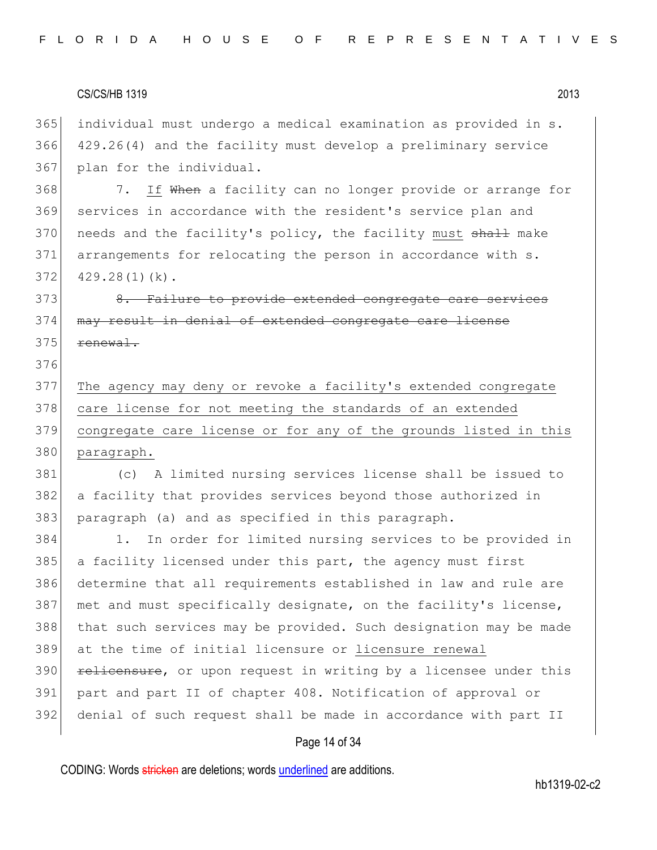individual must undergo a medical examination as provided in s. 429.26(4) and the facility must develop a preliminary service 367 plan for the individual.

368 7. If When a facility can no longer provide or arrange for services in accordance with the resident's service plan and 370 needs and the facility's policy, the facility must shall make arrangements for relocating the person in accordance with s. 429.28(1)(k).

373 8. Failure to provide extended congregate care services 374 may result in denial of extended congregate care license renewal.

 The agency may deny or revoke a facility's extended congregate 378 care license for not meeting the standards of an extended congregate care license or for any of the grounds listed in this 380 paragraph.

 (c) A limited nursing services license shall be issued to 382 a facility that provides services beyond those authorized in paragraph (a) and as specified in this paragraph.

 1. In order for limited nursing services to be provided in a facility licensed under this part, the agency must first determine that all requirements established in law and rule are met and must specifically designate, on the facility's license, that such services may be provided. Such designation may be made at the time of initial licensure or licensure renewal **relicensure,** or upon request in writing by a licensee under this part and part II of chapter 408. Notification of approval or denial of such request shall be made in accordance with part II

#### Page 14 of 34

CODING: Words stricken are deletions; words underlined are additions.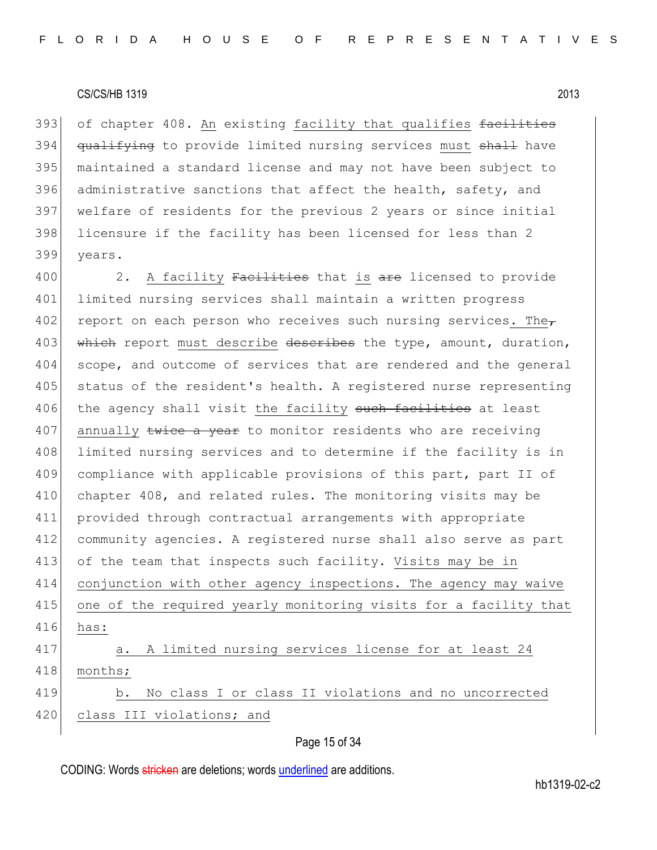393 of chapter 408. An existing facility that qualifies facilities 394 qualifying to provide limited nursing services must shall have 395 maintained a standard license and may not have been subject to 396 administrative sanctions that affect the health, safety, and 397 welfare of residents for the previous 2 years or since initial 398 licensure if the facility has been licensed for less than 2 399 years.

400 2. A facility Facilities that is are licensed to provide 401 limited nursing services shall maintain a written progress 402 report on each person who receives such nursing services. The 403 which report must describe describes the type, amount, duration, 404 scope, and outcome of services that are rendered and the general 405 status of the resident's health. A registered nurse representing 406 the agency shall visit the facility such facilities at least 407 annually twice a year to monitor residents who are receiving 408 limited nursing services and to determine if the facility is in 409 compliance with applicable provisions of this part, part II of 410 chapter 408, and related rules. The monitoring visits may be 411 provided through contractual arrangements with appropriate 412 community agencies. A registered nurse shall also serve as part 413 of the team that inspects such facility. Visits may be in 414 conjunction with other agency inspections. The agency may waive 415 one of the required yearly monitoring visits for a facility that 416 has: 417 a. A limited nursing services license for at least 24 418 months; 419 b. No class I or class II violations and no uncorrected 420 class III violations; and

Page 15 of 34

CODING: Words stricken are deletions; words underlined are additions.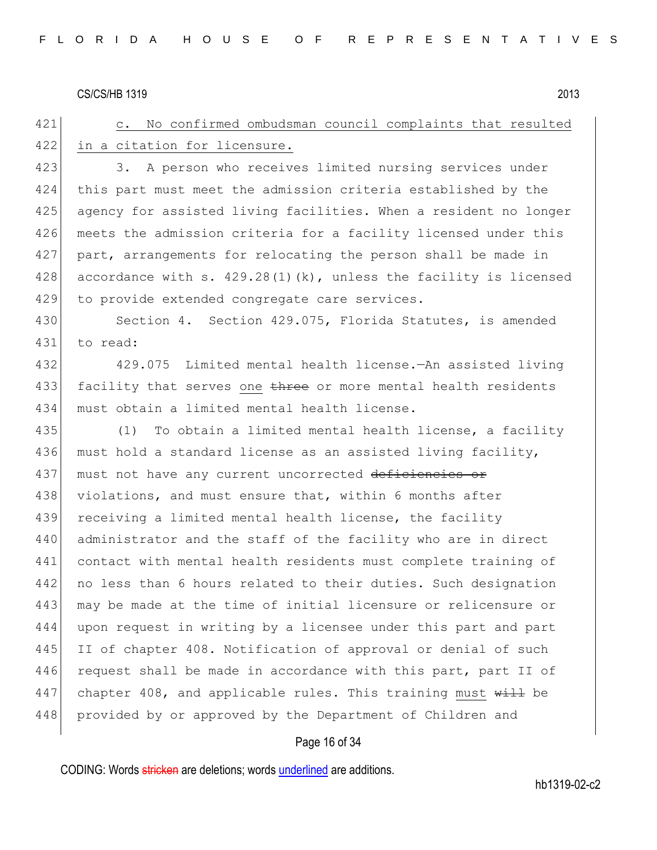421 c. No confirmed ombudsman council complaints that resulted 422 in a citation for licensure. 423 3. A person who receives limited nursing services under 424 this part must meet the admission criteria established by the 425 agency for assisted living facilities. When a resident no longer 426 meets the admission criteria for a facility licensed under this 427 part, arrangements for relocating the person shall be made in 428 accordance with s. 429.28(1)(k), unless the facility is licensed 429 to provide extended congregate care services. 430 Section 4. Section 429.075, Florida Statutes, is amended 431 to read: 432 429.075 Limited mental health license.—An assisted living 433 facility that serves one three or more mental health residents 434 must obtain a limited mental health license. 435 (1) To obtain a limited mental health license, a facility 436 must hold a standard license as an assisted living facility, 437 must not have any current uncorrected deficiencies or 438 violations, and must ensure that, within 6 months after 439 receiving a limited mental health license, the facility 440 administrator and the staff of the facility who are in direct 441 contact with mental health residents must complete training of 442 no less than 6 hours related to their duties. Such designation 443 may be made at the time of initial licensure or relicensure or 444 upon request in writing by a licensee under this part and part 445 II of chapter 408. Notification of approval or denial of such 446 request shall be made in accordance with this part, part II of 447 chapter 408, and applicable rules. This training must  $\frac{11}{11}$  be 448 provided by or approved by the Department of Children and

#### Page 16 of 34

CODING: Words stricken are deletions; words underlined are additions.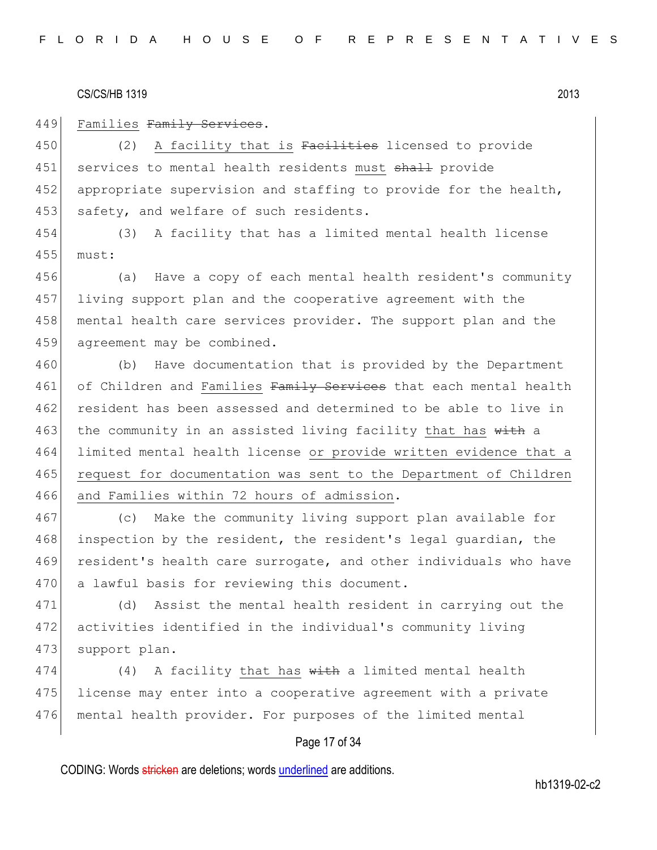449 Families Family Services.

450 (2) A facility that is Facilities licensed to provide 451 services to mental health residents must shall provide 452 appropriate supervision and staffing to provide for the health, 453 safety, and welfare of such residents.

454 (3) A facility that has a limited mental health license 455 must:

456 (a) Have a copy of each mental health resident's community 457 living support plan and the cooperative agreement with the 458 mental health care services provider. The support plan and the 459 agreement may be combined.

460 (b) Have documentation that is provided by the Department 461 of Children and Families Family Services that each mental health 462 resident has been assessed and determined to be able to live in 463 the community in an assisted living facility that has with a 464 limited mental health license or provide written evidence that a 465 request for documentation was sent to the Department of Children 466 and Families within 72 hours of admission.

467 (c) Make the community living support plan available for 468 inspection by the resident, the resident's legal quardian, the 469 resident's health care surrogate, and other individuals who have 470 a lawful basis for reviewing this document.

471 (d) Assist the mental health resident in carrying out the 472 activities identified in the individual's community living 473 support plan.

474 (4) A facility that has  $w$ ith a limited mental health 475 license may enter into a cooperative agreement with a private 476 mental health provider. For purposes of the limited mental

## Page 17 of 34

CODING: Words stricken are deletions; words underlined are additions.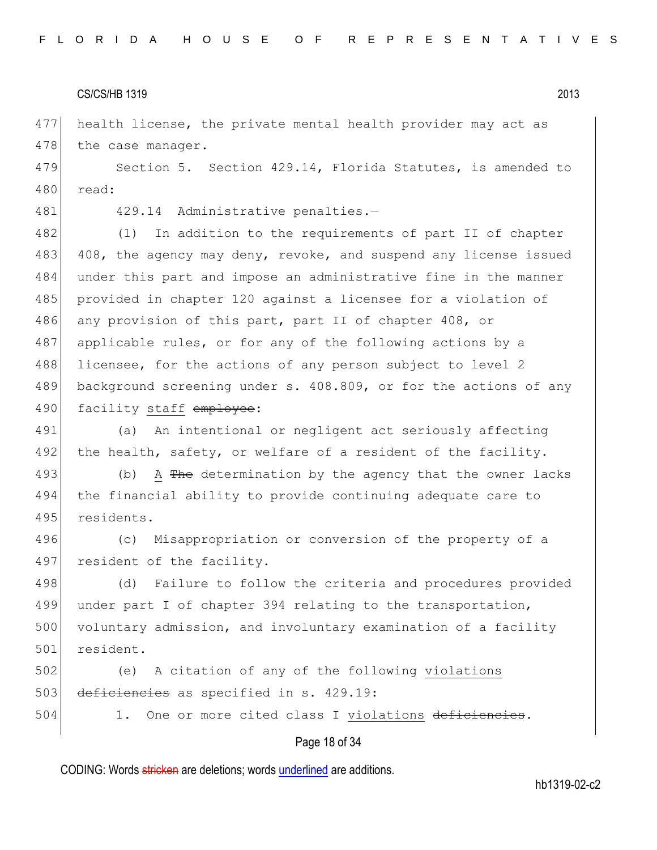477 health license, the private mental health provider may act as 478 the case manager.

479 Section 5. Section 429.14, Florida Statutes, is amended to 480 read:

481 429.14 Administrative penalties.-

482 (1) In addition to the requirements of part II of chapter 483 408, the agency may deny, revoke, and suspend any license issued 484 under this part and impose an administrative fine in the manner 485 provided in chapter 120 against a licensee for a violation of 486 any provision of this part, part II of chapter 408, or 487 applicable rules, or for any of the following actions by a 488 licensee, for the actions of any person subject to level 2 489 background screening under s. 408.809, or for the actions of any 490 facility staff employee:

491 (a) An intentional or negligent act seriously affecting 492 the health, safety, or welfare of a resident of the facility.

493 (b) A The determination by the agency that the owner lacks 494 the financial ability to provide continuing adequate care to 495 residents.

496 (c) Misappropriation or conversion of the property of a 497 resident of the facility.

498 (d) Failure to follow the criteria and procedures provided 499 under part I of chapter 394 relating to the transportation, 500 voluntary admission, and involuntary examination of a facility 501 resident.

502 (e) A citation of any of the following violations 503 deficiencies as specified in s. 429.19:

504 1. One or more cited class I violations deficiencies.

#### Page 18 of 34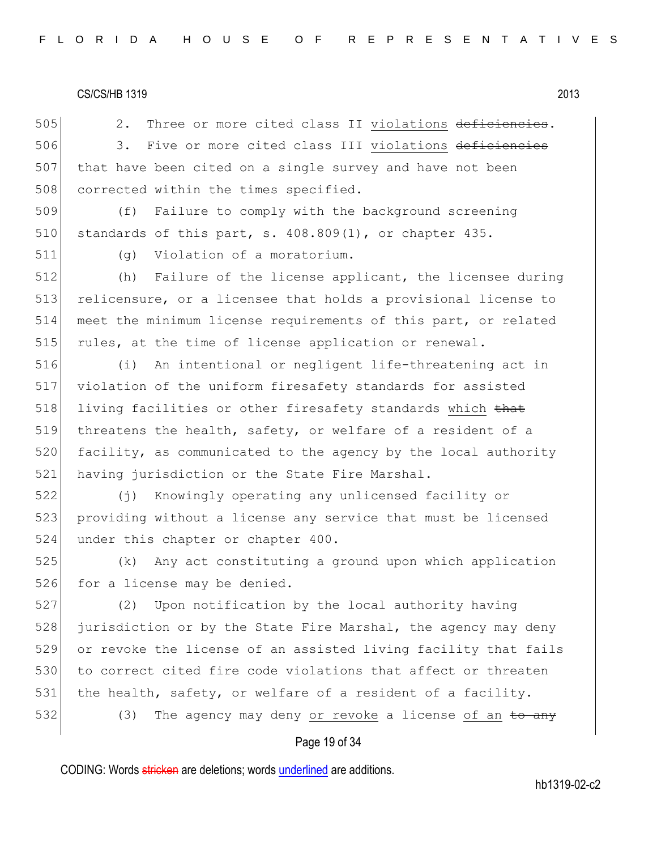505 2. Three or more cited class II violations deficiencies. 506 3. Five or more cited class III violations deficiencies 507 that have been cited on a single survey and have not been 508 corrected within the times specified.

509 (f) Failure to comply with the background screening 510 standards of this part, s.  $408.809(1)$ , or chapter  $435$ .

511 (g) Violation of a moratorium.

512 (h) Failure of the license applicant, the licensee during 513 relicensure, or a licensee that holds a provisional license to 514 meet the minimum license requirements of this part, or related 515 rules, at the time of license application or renewal.

516 (i) An intentional or negligent life-threatening act in 517 violation of the uniform firesafety standards for assisted 518 living facilities or other firesafety standards which that 519 threatens the health, safety, or welfare of a resident of a 520 facility, as communicated to the agency by the local authority 521 having jurisdiction or the State Fire Marshal.

522 (j) Knowingly operating any unlicensed facility or 523 providing without a license any service that must be licensed 524 under this chapter or chapter 400.

525 (k) Any act constituting a ground upon which application 526 for a license may be denied.

527 (2) Upon notification by the local authority having 528 jurisdiction or by the State Fire Marshal, the agency may deny 529 or revoke the license of an assisted living facility that fails 530 to correct cited fire code violations that affect or threaten 531 the health, safety, or welfare of a resident of a facility. 532 (3) The agency may deny or revoke a license of an  $\pm$ o any

#### Page 19 of 34

CODING: Words stricken are deletions; words underlined are additions.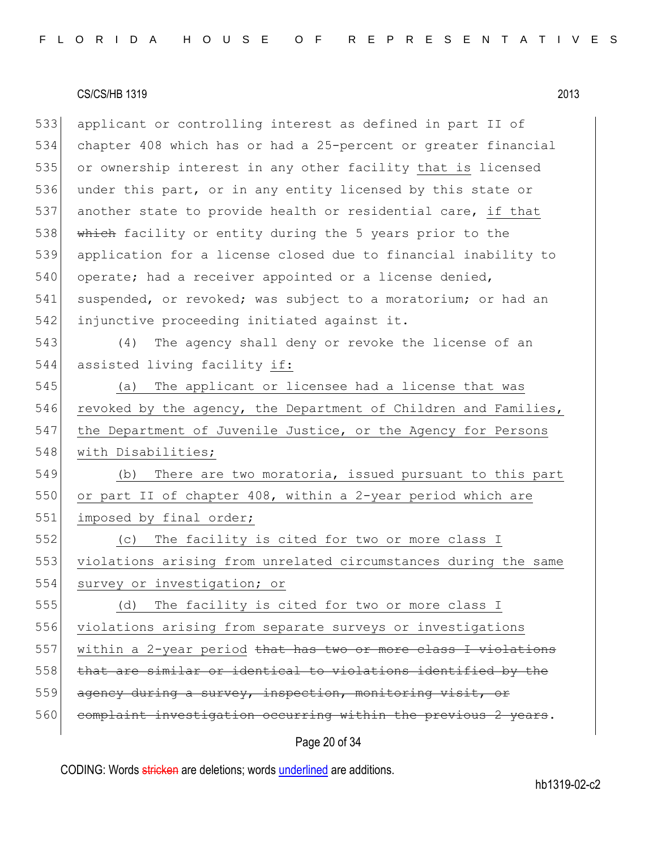533 applicant or controlling interest as defined in part II of 534 chapter 408 which has or had a 25-percent or greater financial 535 or ownership interest in any other facility that is licensed 536 under this part, or in any entity licensed by this state or 537 another state to provide health or residential care, if that 538 which facility or entity during the 5 years prior to the 539 application for a license closed due to financial inability to 540 operate; had a receiver appointed or a license denied, 541 suspended, or revoked; was subject to a moratorium; or had an 542 injunctive proceeding initiated against it. 543 (4) The agency shall deny or revoke the license of an 544 assisted living facility if: 545 (a) The applicant or licensee had a license that was 546 revoked by the agency, the Department of Children and Families, 547 the Department of Juvenile Justice, or the Agency for Persons 548 with Disabilities; 549 (b) There are two moratoria, issued pursuant to this part 550 or part II of chapter 408, within a 2-year period which are 551 imposed by final order; 552 (c) The facility is cited for two or more class I 553 violations arising from unrelated circumstances during the same 554 survey or investigation; or 555 (d) The facility is cited for two or more class I 556 violations arising from separate surveys or investigations 557 within a 2-year period that has two or more class I violations

558 that are similar or identical to violations identified by the

559 agency during a survey, inspection, monitoring visit,

560 complaint investigation occurring within the previous 2 years.

## Page 20 of 34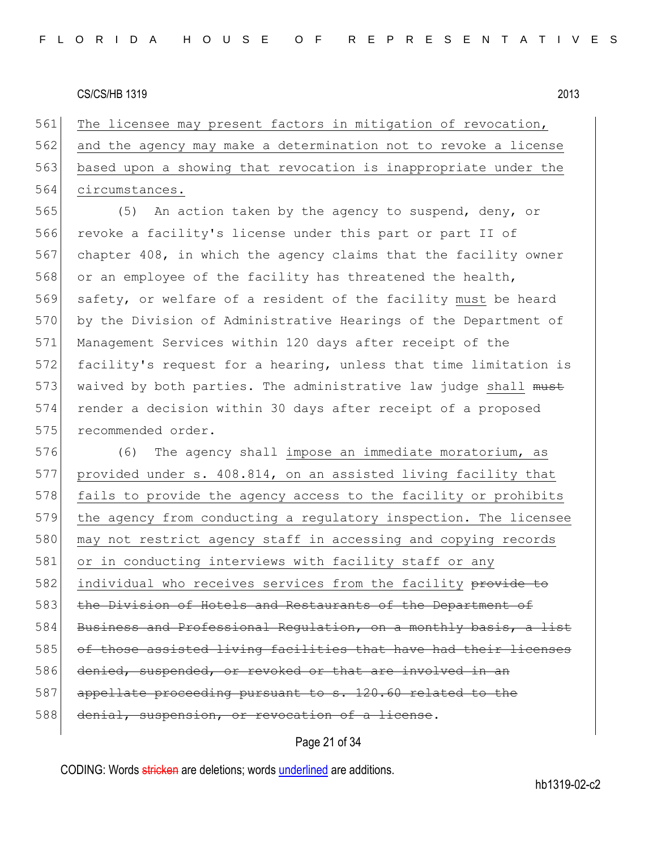561 The licensee may present factors in mitigation of revocation, and the agency may make a determination not to revoke a license based upon a showing that revocation is inappropriate under the circumstances.

565 (5) An action taken by the agency to suspend, deny, or 566 revoke a facility's license under this part or part II of 567 chapter 408, in which the agency claims that the facility owner 568 or an employee of the facility has threatened the health, 569 safety, or welfare of a resident of the facility must be heard 570 by the Division of Administrative Hearings of the Department of 571 Management Services within 120 days after receipt of the 572 facility's request for a hearing, unless that time limitation is 573 waived by both parties. The administrative law judge shall must 574 render a decision within 30 days after receipt of a proposed 575 recommended order.

576 (6) The agency shall impose an immediate moratorium, as 577 provided under s. 408.814, on an assisted living facility that 578 fails to provide the agency access to the facility or prohibits 579 the agency from conducting a regulatory inspection. The licensee 580 may not restrict agency staff in accessing and copying records 581 or in conducting interviews with facility staff or any 582 individual who receives services from the facility provide to 583 the Division of Hotels and Restaurants of the Department of 584 Business and Professional Regulation, on a monthly basis, a list 585 of those assisted living facilities that have had their licenses 586 denied, suspended, or revoked or that are involved in an 587 appellate proceeding pursuant to s. 120.60 related to the 588 denial, suspension, or revocation of a license.

## Page 21 of 34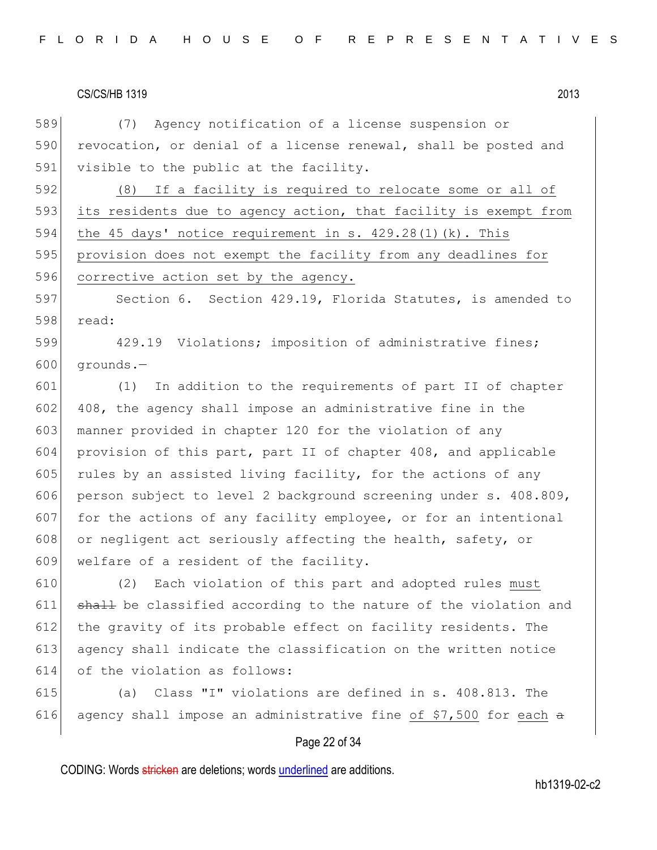589 (7) Agency notification of a license suspension or 590 revocation, or denial of a license renewal, shall be posted and 591 visible to the public at the facility.

592 (8) If a facility is required to relocate some or all of 593 its residents due to agency action, that facility is exempt from 594 the 45 days' notice requirement in s.  $429.28(1)(k)$ . This 595 provision does not exempt the facility from any deadlines for 596 corrective action set by the agency.

597 Section 6. Section 429.19, Florida Statutes, is amended to 598 read:

599 429.19 Violations; imposition of administrative fines;  $600$  grounds.

601 (1) In addition to the requirements of part II of chapter 602 408, the agency shall impose an administrative fine in the 603 manner provided in chapter 120 for the violation of any 604 provision of this part, part II of chapter 408, and applicable 605 rules by an assisted living facility, for the actions of any 606 person subject to level 2 background screening under s. 408.809, 607 for the actions of any facility employee, or for an intentional 608 or negligent act seriously affecting the health, safety, or 609 welfare of a resident of the facility.

610 (2) Each violation of this part and adopted rules must 611 shall be classified according to the nature of the violation and 612 the gravity of its probable effect on facility residents. The 613 agency shall indicate the classification on the written notice 614 of the violation as follows:

615 (a) Class "I" violations are defined in s. 408.813. The 616 agency shall impose an administrative fine of \$7,500 for each  $\alpha$ 

#### Page 22 of 34

CODING: Words stricken are deletions; words underlined are additions.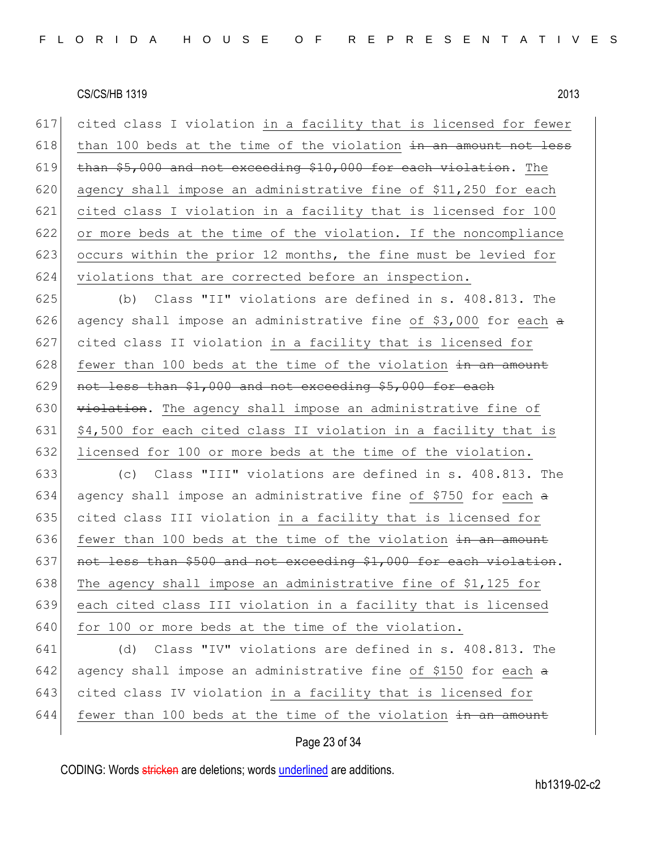617 cited class I violation in a facility that is licensed for fewer 618 than 100 beds at the time of the violation  $\frac{1}{2}$  and  $\frac{1}{2}$  and  $\frac{1}{2}$ 619 than  $$5,000$  and not exceeding  $$10,000$  for each violation. The 620 agency shall impose an administrative fine of  $$11,250$  for each 621 cited class I violation in a facility that is licensed for 100 622 or more beds at the time of the violation. If the noncompliance 623 occurs within the prior 12 months, the fine must be levied for 624 violations that are corrected before an inspection.

 (b) Class "II" violations are defined in s. 408.813. The 626 agency shall impose an administrative fine of \$3,000 for each  $\alpha$  cited class II violation in a facility that is licensed for fewer than 100 beds at the time of the violation  $\frac{1}{2}$  an amount 629 not less than  $$1,000$  and not exceeding  $$5,000$  for each  $\forall$  violation. The agency shall impose an administrative fine of  $\vert$  \$4,500 for each cited class II violation in a facility that is 632 licensed for 100 or more beds at the time of the violation.

633 (c) Class "III" violations are defined in s. 408.813. The 634 agency shall impose an administrative fine of \$750 for each  $a$ 635 cited class III violation in a facility that is licensed for 636 fewer than 100 beds at the time of the violation  $\frac{1}{2}$  an amount 637 not less than \$500 and not exceeding \$1,000 for each violation. 638 The agency shall impose an administrative fine of \$1,125 for 639 each cited class III violation in a facility that is licensed 640 for 100 or more beds at the time of the violation.

641 (d) Class "IV" violations are defined in s. 408.813. The 642 agency shall impose an administrative fine of \$150 for each  $\alpha$ 643 cited class IV violation in a facility that is licensed for 644 fewer than 100 beds at the time of the violation  $\frac{1}{10}$  an amount

## Page 23 of 34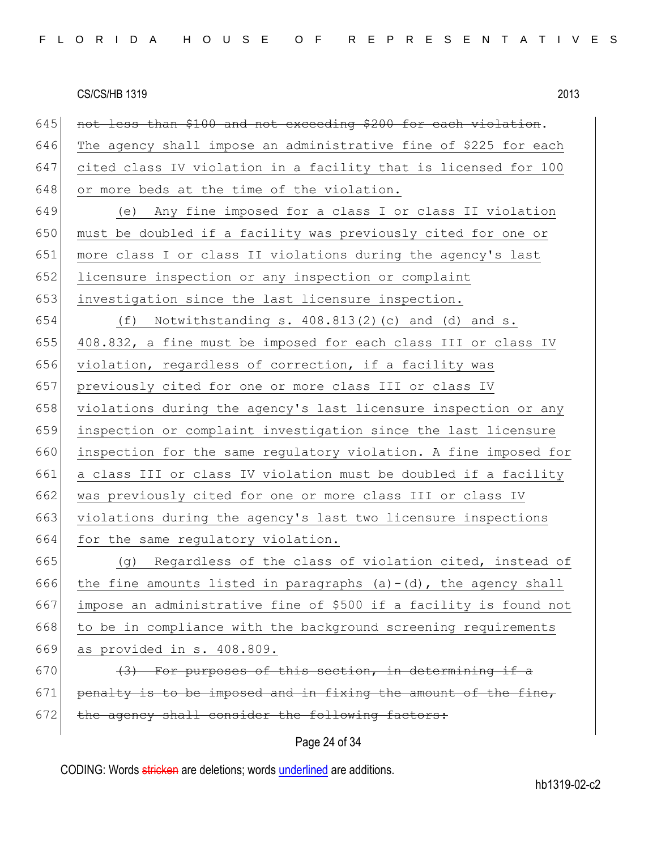645 not less than \$100 and not exceeding \$200 for each violation. 646 The agency shall impose an administrative fine of \$225 for each cited class IV violation in a facility that is licensed for 100 648 or more beds at the time of the violation. (e) Any fine imposed for a class I or class II violation 650 must be doubled if a facility was previously cited for one or more class I or class II violations during the agency's last 652 licensure inspection or any inspection or complaint investigation since the last licensure inspection. (f) Notwithstanding s. 408.813(2)(c) and (d) and s. 408.832, a fine must be imposed for each class III or class IV violation, regardless of correction, if a facility was 657 previously cited for one or more class III or class IV 658 violations during the agency's last licensure inspection or any inspection or complaint investigation since the last licensure inspection for the same regulatory violation. A fine imposed for a class III or class IV violation must be doubled if a facility was previously cited for one or more class III or class IV violations during the agency's last two licensure inspections 664 for the same regulatory violation. (g) Regardless of the class of violation cited, instead of 666 the fine amounts listed in paragraphs  $(a)-(d)$ , the agency shall impose an administrative fine of \$500 if a facility is found not to be in compliance with the background screening requirements as provided in s. 408.809.  $(3)$  For purposes of this section, in determining if a penalty is to be imposed and in fixing the amount of the fine, 672 the agency shall consider the following factors:

## Page 24 of 34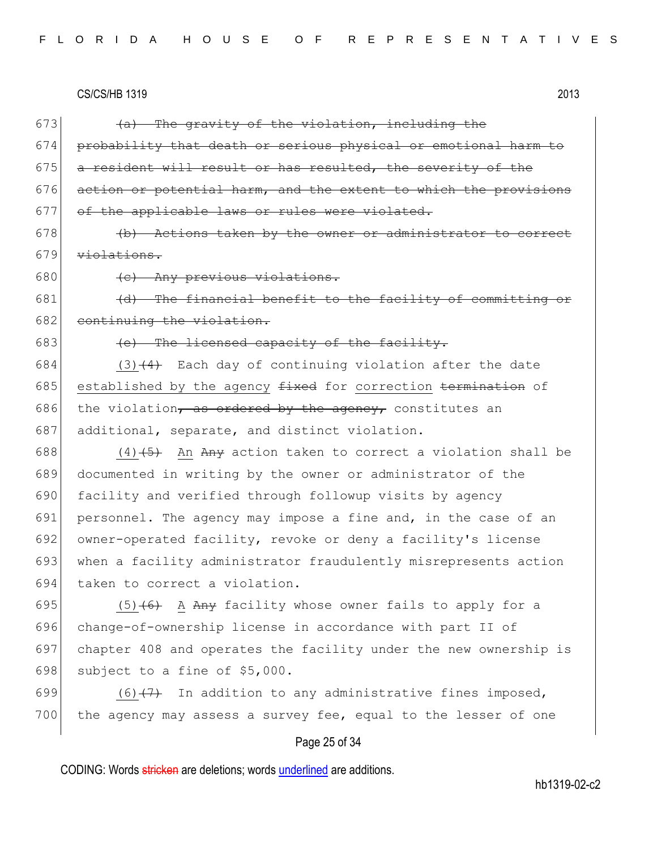673  $\left(4a\right)$  The gravity of the violation, including the 674 probability that death or serious physical or emotional harm to  $675$  a resident will result or has resulted, the severity of the 676  $\sigma$  action or potential harm, and the extent to which the provisions 677 of the applicable laws or rules were violated.  $678$  (b) Actions taken by the owner or administrator to correct 679 violations. 680 (c) Any previous violations. 681  $(d)$  The financial benefit to the facility of committing or 682 continuing the violation. 683  $(e)$  The licensed capacity of the facility. 684  $(3)$   $(4)$  Each day of continuing violation after the date 685 established by the agency  $f$ ixed for correction termination of 686 the violation, as ordered by the agency, constitutes an 687 additional, separate, and distinct violation. 688  $(4)$   $\overline{5}$  An Any action taken to correct a violation shall be 689 documented in writing by the owner or administrator of the 690 facility and verified through followup visits by agency 691 personnel. The agency may impose a fine and, in the case of an 692 owner-operated facility, revoke or deny a facility's license 693 when a facility administrator fraudulently misrepresents action 694 taken to correct a violation. 695  $(5)$  (6) A Any facility whose owner fails to apply for a 696 change-of-ownership license in accordance with part II of 697 chapter 408 and operates the facility under the new ownership is 698 subject to a fine of  $$5,000$ . 699  $(6)$  (6)  $(7)$  In addition to any administrative fines imposed,

#### Page 25 of 34

700 the agency may assess a survey fee, equal to the lesser of one

CODING: Words stricken are deletions; words underlined are additions.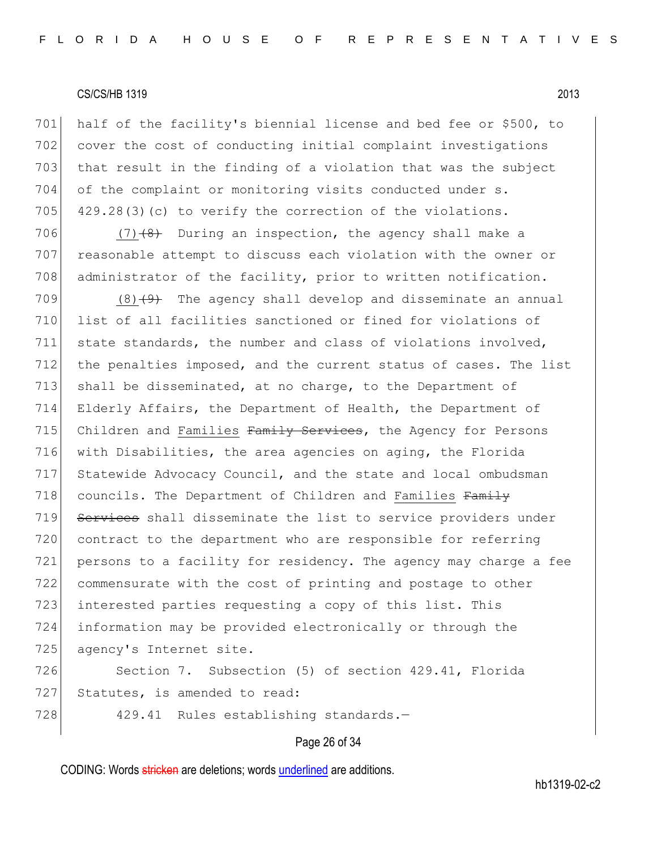701 half of the facility's biennial license and bed fee or \$500, to 702 cover the cost of conducting initial complaint investigations 703 that result in the finding of a violation that was the subject 704 of the complaint or monitoring visits conducted under s. 705  $429.28(3)(c)$  to verify the correction of the violations.

706 (7) $(8)$  During an inspection, the agency shall make a 707 reasonable attempt to discuss each violation with the owner or 708 administrator of the facility, prior to written notification.

709  $(8)$   $(9)$  The agency shall develop and disseminate an annual 710 list of all facilities sanctioned or fined for violations of 711 state standards, the number and class of violations involved, 712 the penalties imposed, and the current status of cases. The list 713 shall be disseminated, at no charge, to the Department of 714 Elderly Affairs, the Department of Health, the Department of 715 Children and Families Family Services, the Agency for Persons 716 with Disabilities, the area agencies on aging, the Florida 717 Statewide Advocacy Council, and the state and local ombudsman 718 councils. The Department of Children and Families Family 719 Services shall disseminate the list to service providers under 720 contract to the department who are responsible for referring 721 persons to a facility for residency. The agency may charge a fee 722 commensurate with the cost of printing and postage to other 723 interested parties requesting a copy of this list. This 724 information may be provided electronically or through the 725 agency's Internet site.

726 Section 7. Subsection (5) of section 429.41, Florida 727 Statutes, is amended to read:

728 429.41 Rules establishing standards.-

## Page 26 of 34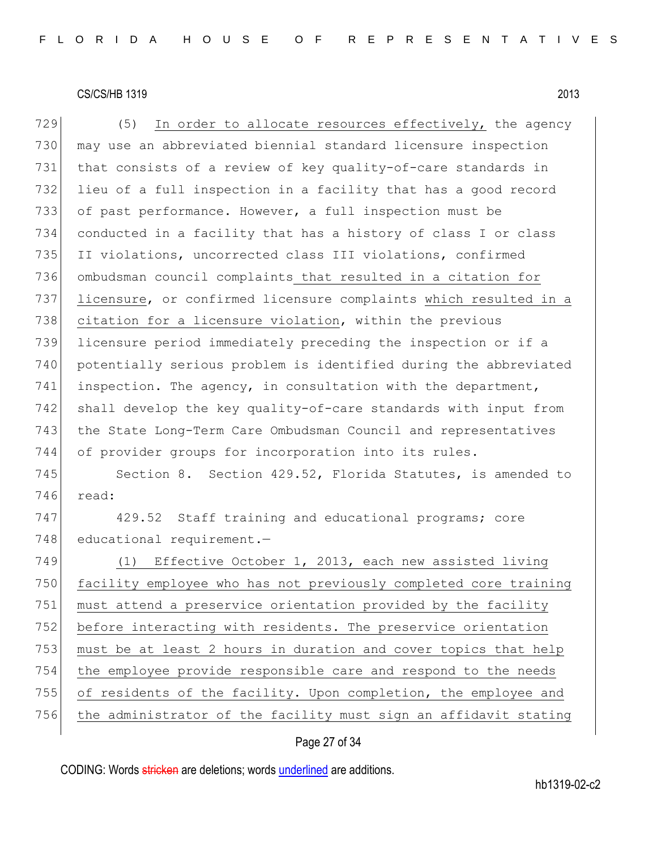729  $(5)$  In order to allocate resources effectively, the agency 730 may use an abbreviated biennial standard licensure inspection 731 that consists of a review of key quality-of-care standards in 732 lieu of a full inspection in a facility that has a good record 733 of past performance. However, a full inspection must be 734 conducted in a facility that has a history of class I or class 735 II violations, uncorrected class III violations, confirmed 736 ombudsman council complaints that resulted in a citation for 737 licensure, or confirmed licensure complaints which resulted in a 738 citation for a licensure violation, within the previous 739 licensure period immediately preceding the inspection or if a 740 potentially serious problem is identified during the abbreviated 741 inspection. The agency, in consultation with the department, 742 shall develop the key quality-of-care standards with input from 743 the State Long-Term Care Ombudsman Council and representatives 744 of provider groups for incorporation into its rules. 745 Section 8. Section 429.52, Florida Statutes, is amended to 746 read: 747 429.52 Staff training and educational programs; core 748 educational requirement.-749 (1) Effective October 1, 2013, each new assisted living 750 facility employee who has not previously completed core training 751 must attend a preservice orientation provided by the facility 752 before interacting with residents. The preservice orientation 753 must be at least 2 hours in duration and cover topics that help 754 the employee provide responsible care and respond to the needs 755 of residents of the facility. Upon completion, the employee and 756 the administrator of the facility must sign an affidavit stating

## Page 27 of 34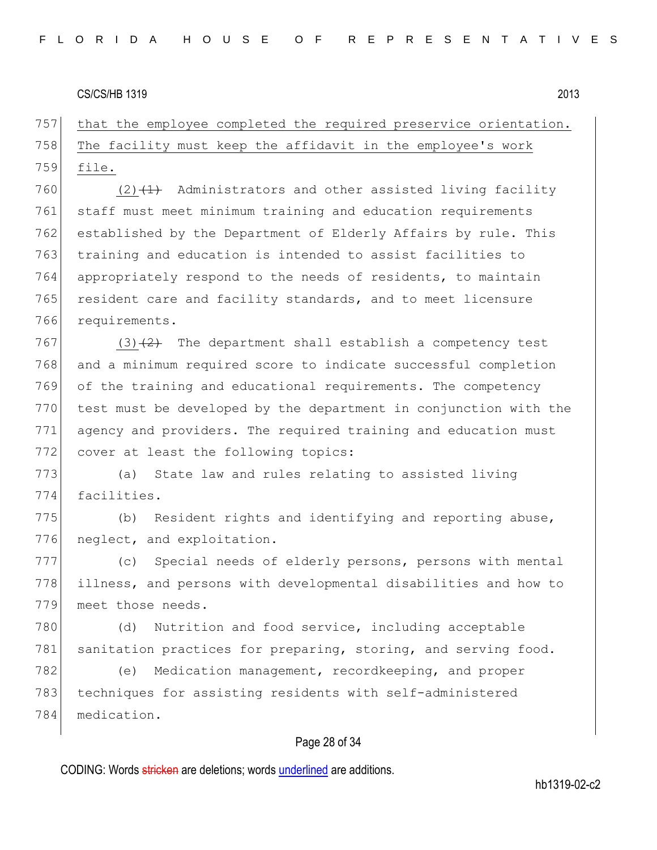757 that the employee completed the required preservice orientation. 758 The facility must keep the affidavit in the employee's work 759 file.

 $(2)$   $(1)$  Administrators and other assisted living facility staff must meet minimum training and education requirements established by the Department of Elderly Affairs by rule. This training and education is intended to assist facilities to 764 appropriately respond to the needs of residents, to maintain 765 resident care and facility standards, and to meet licensure requirements.

 (3) $\left(2\right)$  The department shall establish a competency test and a minimum required score to indicate successful completion of the training and educational requirements. The competency test must be developed by the department in conjunction with the agency and providers. The required training and education must 772 cover at least the following topics:

773 (a) State law and rules relating to assisted living 774 facilities.

775 (b) Resident rights and identifying and reporting abuse, 776 neglect, and exploitation.

777 (c) Special needs of elderly persons, persons with mental 778 illness, and persons with developmental disabilities and how to 779 meet those needs.

780 (d) Nutrition and food service, including acceptable 781 sanitation practices for preparing, storing, and serving food.

782 (e) Medication management, recordkeeping, and proper 783 techniques for assisting residents with self-administered 784 medication.

## Page 28 of 34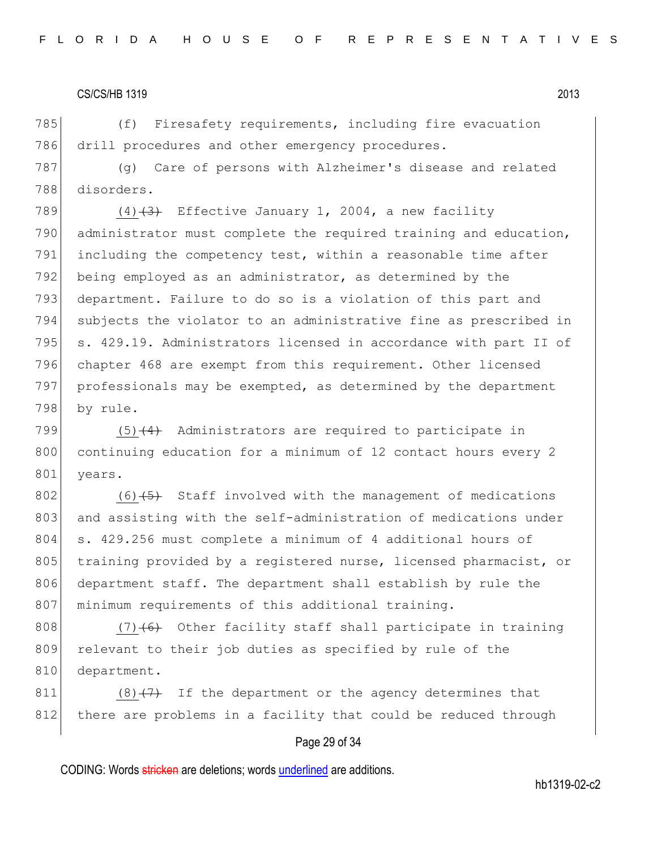785 (f) Firesafety requirements, including fire evacuation 786 drill procedures and other emergency procedures.

787 (g) Care of persons with Alzheimer's disease and related 788 disorders.

 $(4)$   $(3)$  Effective January 1, 2004, a new facility administrator must complete the required training and education, including the competency test, within a reasonable time after 792 being employed as an administrator, as determined by the 793 department. Failure to do so is a violation of this part and subjects the violator to an administrative fine as prescribed in s. 429.19. Administrators licensed in accordance with part II of chapter 468 are exempt from this requirement. Other licensed professionals may be exempted, as determined by the department 798 by rule.

799  $(5)$   $(4)$  Administrators are required to participate in 800 continuing education for a minimum of 12 contact hours every 2 801 years.

 $802$  (6)<del>(5)</del> Staff involved with the management of medications 803 and assisting with the self-administration of medications under 804 s. 429.256 must complete a minimum of 4 additional hours of 805 training provided by a registered nurse, licensed pharmacist, or 806 department staff. The department shall establish by rule the 807 minimum requirements of this additional training.

808 (7) $\left(6\right)$  Other facility staff shall participate in training 809 relevant to their job duties as specified by rule of the 810 department.

 $811$  (8)  $(7)$  If the department or the agency determines that 812 there are problems in a facility that could be reduced through

#### Page 29 of 34

CODING: Words stricken are deletions; words underlined are additions.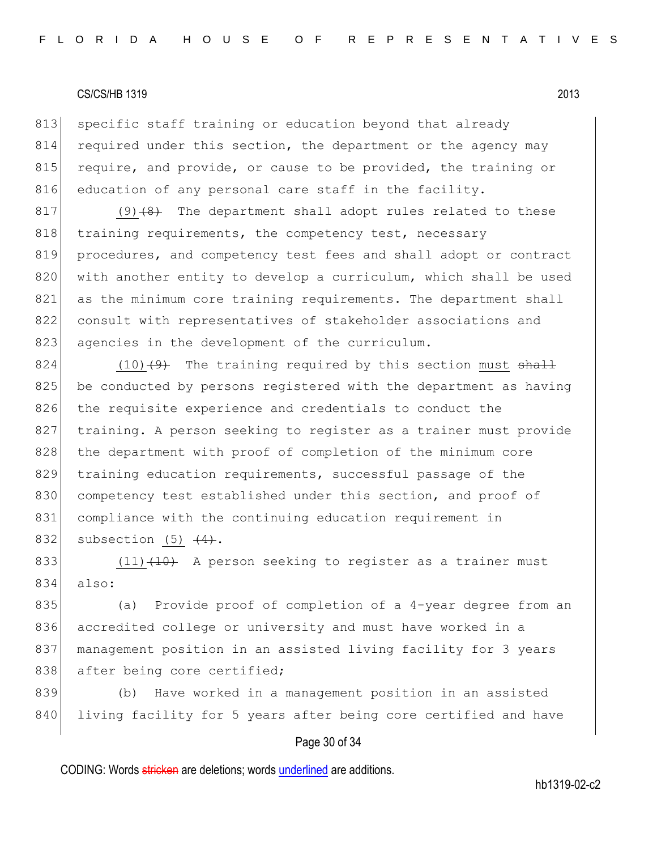813 specific staff training or education beyond that already 814 required under this section, the department or the agency may 815 require, and provide, or cause to be provided, the training or 816 education of any personal care staff in the facility.

 $817$  (9) $\left(8\right)$  The department shall adopt rules related to these 818 training requirements, the competency test, necessary 819 procedures, and competency test fees and shall adopt or contract 820 with another entity to develop a curriculum, which shall be used 821 as the minimum core training requirements. The department shall 822 consult with representatives of stakeholder associations and 823 agencies in the development of the curriculum.

 $824$  (10)<del>(9)</del> The training required by this section must  $shaH$ 825 be conducted by persons registered with the department as having 826 the requisite experience and credentials to conduct the 827 training. A person seeking to register as a trainer must provide 828 the department with proof of completion of the minimum core 829 training education requirements, successful passage of the 830 competency test established under this section, and proof of 831 compliance with the continuing education requirement in 832 subsection  $(5)$   $(4)$ .

833 (11) $(10)$  A person seeking to register as a trainer must 834 also:

835 (a) Provide proof of completion of a 4-year degree from an 836 accredited college or university and must have worked in a 837 | management position in an assisted living facility for 3 years 838 after being core certified;

839 (b) Have worked in a management position in an assisted 840 living facility for 5 years after being core certified and have

## Page 30 of 34

CODING: Words stricken are deletions; words underlined are additions.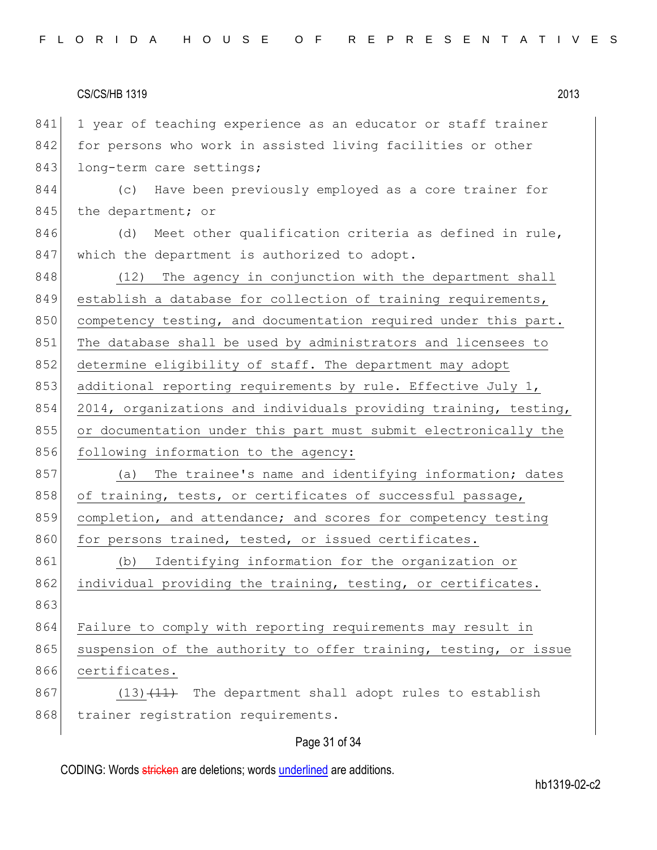841 1 year of teaching experience as an educator or staff trainer 842 for persons who work in assisted living facilities or other 843 long-term care settings;

844 (c) Have been previously employed as a core trainer for 845 the department; or

 $846$  (d) Meet other qualification criteria as defined in rule, 847 which the department is authorized to adopt.

848 (12) The agency in conjunction with the department shall 849 establish a database for collection of training requirements, 850 competency testing, and documentation required under this part. 851 The database shall be used by administrators and licensees to 852 determine eligibility of staff. The department may adopt 853 additional reporting requirements by rule. Effective July 1, 854 2014, organizations and individuals providing training, testing, 855 or documentation under this part must submit electronically the 856 following information to the agency:

857 (a) The trainee's name and identifying information; dates 858 of training, tests, or certificates of successful passage, 859 completion, and attendance; and scores for competency testing 860 for persons trained, tested, or issued certificates.

861 (b) Identifying information for the organization or 862 individual providing the training, testing, or certificates. 863 864 Failure to comply with reporting requirements may result in 865 suspension of the authority to offer training, testing, or issue

866 certificates.  $867$  (13) $\overline{11}$  The department shall adopt rules to establish 868 trainer registration requirements.

#### Page 31 of 34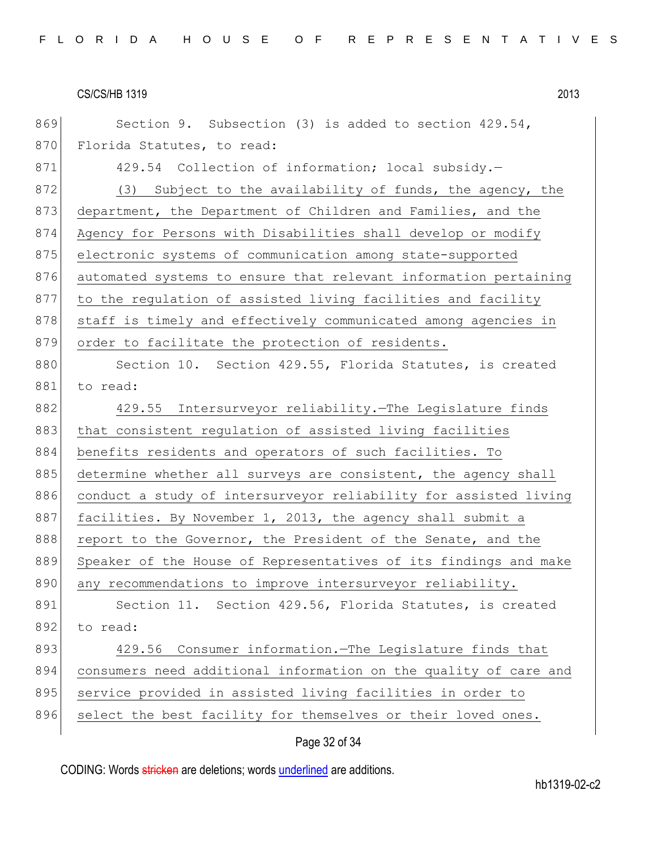869 Section 9. Subsection (3) is added to section 429.54, 870 Florida Statutes, to read: 871 429.54 Collection of information; local subsidy. 872 (3) Subject to the availability of funds, the agency, the 873 department, the Department of Children and Families, and the 874 Agency for Persons with Disabilities shall develop or modify 875 electronic systems of communication among state-supported 876 automated systems to ensure that relevant information pertaining 877 to the regulation of assisted living facilities and facility 878 staff is timely and effectively communicated among agencies in 879 order to facilitate the protection of residents. 880 Section 10. Section 429.55, Florida Statutes, is created 881 to read: 882 429.55 Intersurveyor reliability.—The Legislature finds 883 that consistent regulation of assisted living facilities 884 benefits residents and operators of such facilities. To 885 determine whether all surveys are consistent, the agency shall 886 conduct a study of intersurveyor reliability for assisted living 887 facilities. By November 1, 2013, the agency shall submit a 888 report to the Governor, the President of the Senate, and the 889 Speaker of the House of Representatives of its findings and make 890 any recommendations to improve intersurveyor reliability. 891 Section 11. Section 429.56, Florida Statutes, is created 892 to read: 893 429.56 Consumer information.—The Legislature finds that 894 consumers need additional information on the quality of care and 895 service provided in assisted living facilities in order to 896 select the best facility for themselves or their loved ones.

## Page 32 of 34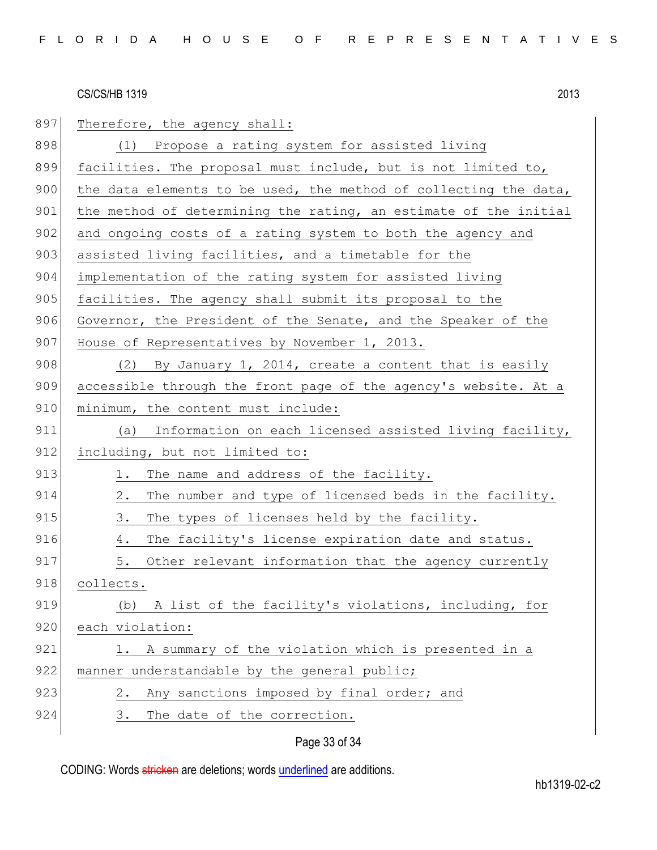| 897 | Therefore, the agency shall:                                     |
|-----|------------------------------------------------------------------|
| 898 | (1) Propose a rating system for assisted living                  |
| 899 | facilities. The proposal must include, but is not limited to,    |
| 900 | the data elements to be used, the method of collecting the data, |
| 901 | the method of determining the rating, an estimate of the initial |
| 902 | and ongoing costs of a rating system to both the agency and      |
| 903 | assisted living facilities, and a timetable for the              |
| 904 | implementation of the rating system for assisted living          |
| 905 | facilities. The agency shall submit its proposal to the          |
| 906 | Governor, the President of the Senate, and the Speaker of the    |
| 907 | House of Representatives by November 1, 2013.                    |
| 908 | (2) By January 1, 2014, create a content that is easily          |
| 909 | accessible through the front page of the agency's website. At a  |
| 910 | minimum, the content must include:                               |
| 911 | Information on each licensed assisted living facility,<br>(a)    |
| 912 | including, but not limited to:                                   |
| 913 | The name and address of the facility.<br>1.                      |
| 914 | 2.<br>The number and type of licensed beds in the facility.      |
| 915 | 3.<br>The types of licenses held by the facility.                |
| 916 | The facility's license expiration date and status.<br>4.         |
| 917 | 5.<br>Other relevant information that the agency currently       |
| 918 | collects.                                                        |
| 919 | (b) A list of the facility's violations, including, for          |
| 920 | each violation:                                                  |
| 921 | A summary of the violation which is presented in a<br>1.         |
| 922 | manner understandable by the general public;                     |
| 923 | Any sanctions imposed by final order; and<br>2.                  |
| 924 | The date of the correction.<br>3.                                |
|     |                                                                  |

# Page 33 of 34